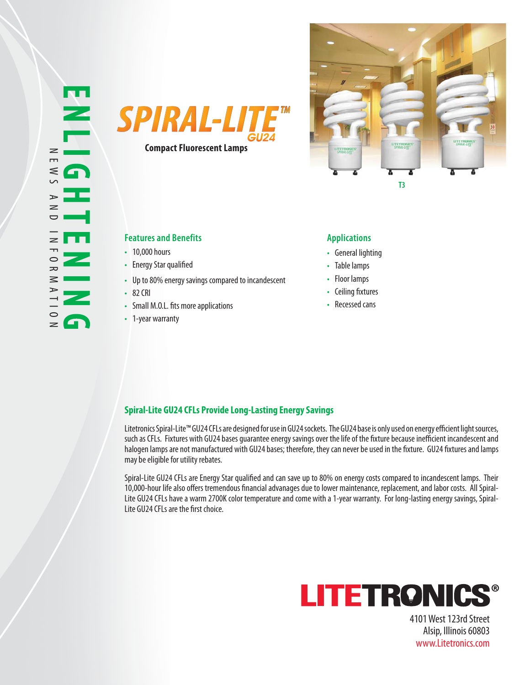



# **Features and Benefits Applications**

- 10,000 hours
- Energy Star qualified
- Up to 80% energy savings compared to incandescent •
- 82 CRI •
- Small M.O.L. fits more applications
- 1-year warranty •

- General lighting
- Table lamps
- Floor lamps
- Ceiling fixtures
- Recessed cans

# **Spiral-Lite GU24 CFLs Provide Long-Lasting Energy Savings**

Litetronics Spiral-Lite™ GU24 CFLs are designed for use in GU24 sockets. The GU24 base is only used on energy efficient light sources, such as CFLs. Fixtures with GU24 bases guarantee energy savings over the life of the fixture because inefficient incandescent and halogen lamps are not manufactured with GU24 bases; therefore, they can never be used in the fixture. GU24 fixtures and lamps may be eligible for utility rebates.

Spiral-Lite GU24 CFLs are Energy Star qualified and can save up to 80% on energy costs compared to incandescent lamps. Their 10,000-hour life also offers tremendous financial advanages due to lower maintenance, replacement, and labor costs. All Spiral-Lite GU24 CFLs have a warm 2700K color temperature and come with a 1-year warranty. For long-lasting energy savings, Spiral-Lite GU24 CFLs are the first choice.



4101 West 123rd Street Alsip, Illinois 60803 www.Litetronics.com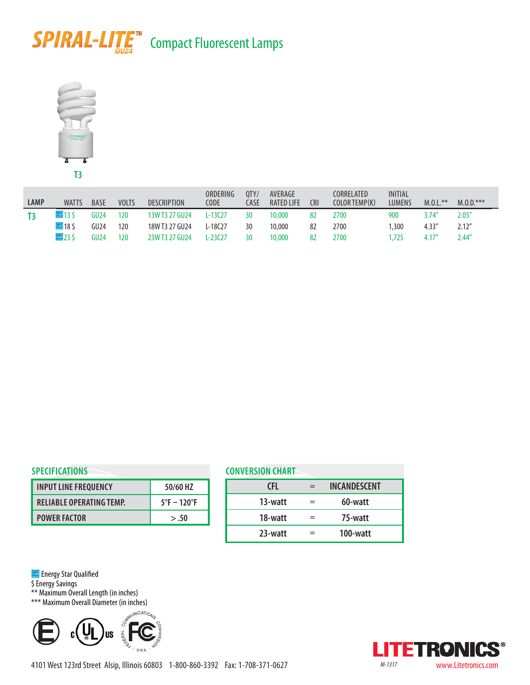# **SPIRAL-LITE<sup>™</sup> Compact Fluorescent Lamps**



| LAMP | <b>WATTS</b>        | <b>BASE</b> | <b>VOLTS</b> | <b>DESCRIPTION</b> | ORDERING<br><b>CODE</b> | OTY/<br>CASE | AVERAGE<br><b>RATED LIFE</b> | <b>CRI</b> | CORRELATED<br>COLOR TEMP(K) | INITIAL<br><b>LUMENS</b> | $M.0.L.***$ | $M.0.0.****$ |
|------|---------------------|-------------|--------------|--------------------|-------------------------|--------------|------------------------------|------------|-----------------------------|--------------------------|-------------|--------------|
|      | $\blacksquare$ 13\$ | GU24        | 120          | 13W T3 27 GU24     | L-13C27                 | 30           | 10,000                       | 82         | 2700                        | 900                      | 3.74''      | 2.05''       |
|      | $= 185$             | GU24        | 120          | 18W T3 27 GU24     | L-18C27                 | 30           | 10,000                       | 82         | 2700                        | .300                     | 4.33''      | 2.12''       |
|      | $\blacksquare$ 23\$ | GU24        | 120          | 23W T3 27 GU24     | $1 - 23C27$             | 30           | 10,000                       | 82         | 2700                        | .725                     | 4.17''      | 2.44''       |

### **SPECIFICATIONS**

| <b>INPUT LINE FREQUENCY</b>     | 50/60 HZ                     |
|---------------------------------|------------------------------|
| <b>RELIABLE OPERATING TEMP.</b> | $5^\circ$ F – 120 $^\circ$ F |
| <b>POWER FACTOR</b>             | > .50                        |

| <b>CONVERSION CHART</b> |  |              |  |  |  |
|-------------------------|--|--------------|--|--|--|
| CFI.                    |  | INCANDESCENT |  |  |  |
| 13-watt                 |  | 60-watt      |  |  |  |
| 18-watt                 |  | 75-watt      |  |  |  |
| 23-watt                 |  | 100-watt     |  |  |  |

**Energy Star Qualified** 

\$ Energy Savings

\*\* Maximum Overall Length (in inches)

\*\*\* Maximum Overall Diameter (in inches)



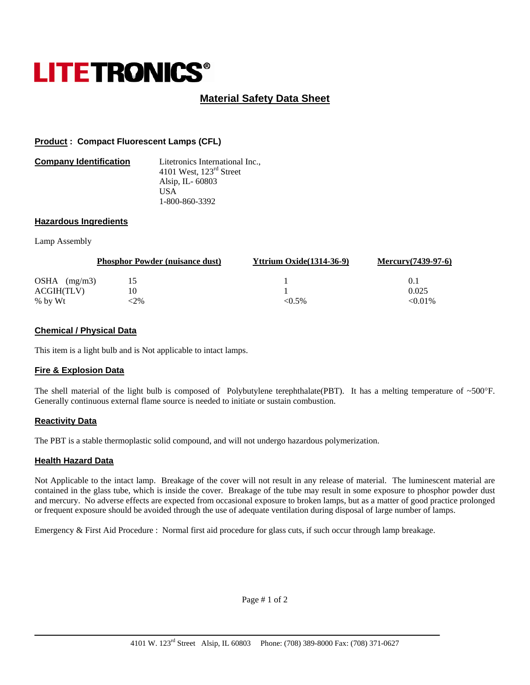# **LITETRONICS®**

# **Material Safety Data Sheet**

# **Product : Compact Fluorescent Lamps (CFL)**

| <b>Company Identification</b> | Litetronics International Inc.,     |
|-------------------------------|-------------------------------------|
|                               | 4101 West, $123^{\text{rd}}$ Street |
|                               | Alsip, IL-60803                     |
|                               | US A                                |
|                               | 1-800-860-3392                      |

#### **Hazardous Ingredients**

#### Lamp Assembly

|                | <b>Phosphor Powder (nuisance dust)</b> | <b>Yttrium Oxide</b> (1314-36-9) | Mercury $(7439-97-6)$ |
|----------------|----------------------------------------|----------------------------------|-----------------------|
| OSHA $(mg/m3)$ | 15                                     |                                  | 0.1                   |
| ACGIH(TLV)     | 10                                     |                                  | 0.025                 |
| % by Wt        | <2%                                    | $< 0.5\%$                        | $< 0.01\%$            |

# **Chemical / Physical Data**

This item is a light bulb and is Not applicable to intact lamps.

#### **Fire & Explosion Data**

The shell material of the light bulb is composed of Polybutylene terephthalate(PBT). It has a melting temperature of ~500°F. Generally continuous external flame source is needed to initiate or sustain combustion.

# **Reactivity Data**

The PBT is a stable thermoplastic solid compound, and will not undergo hazardous polymerization.

# **Health Hazard Data**

Not Applicable to the intact lamp. Breakage of the cover will not result in any release of material. The luminescent material are contained in the glass tube, which is inside the cover. Breakage of the tube may result in some exposure to phosphor powder dust and mercury. No adverse effects are expected from occasional exposure to broken lamps, but as a matter of good practice prolonged or frequent exposure should be avoided through the use of adequate ventilation during disposal of large number of lamps.

Emergency & First Aid Procedure : Normal first aid procedure for glass cuts, if such occur through lamp breakage.

Page # 1 of 2